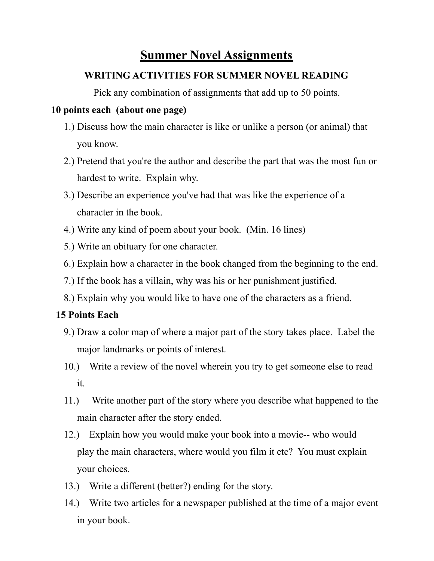# **Summer Novel Assignments**

### **WRITING ACTIVITIES FOR SUMMER NOVEL READING**

Pick any combination of assignments that add up to 50 points.

### **10 points each (about one page)**

- 1.) Discuss how the main character is like or unlike a person (or animal) that you know.
- 2.) Pretend that you're the author and describe the part that was the most fun or hardest to write. Explain why.
- 3.) Describe an experience you've had that was like the experience of a character in the book.
- 4.) Write any kind of poem about your book. (Min. 16 lines)
- 5.) Write an obituary for one character.
- 6.) Explain how a character in the book changed from the beginning to the end.
- 7.) If the book has a villain, why was his or her punishment justified.
- 8.) Explain why you would like to have one of the characters as a friend.

## **15 Points Each**

- 9.) Draw a color map of where a major part of the story takes place. Label the major landmarks or points of interest.
- 10.) Write a review of the novel wherein you try to get someone else to read it.
- 11.) Write another part of the story where you describe what happened to the main character after the story ended.
- 12.) Explain how you would make your book into a movie-- who would play the main characters, where would you film it etc? You must explain your choices.
- 13.) Write a different (better?) ending for the story.
- 14.) Write two articles for a newspaper published at the time of a major event in your book.